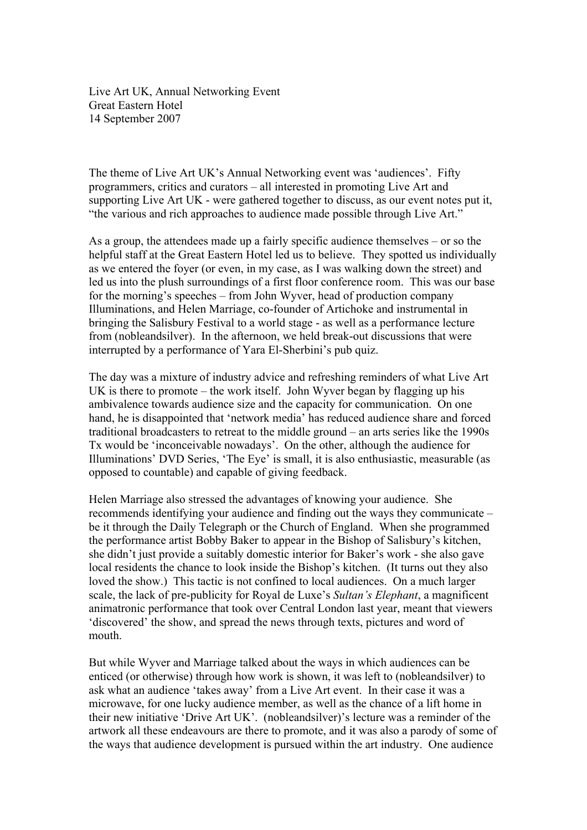Live Art UK, Annual Networking Event Great Eastern Hotel 14 September 2007

The theme of Live Art UK's Annual Networking event was 'audiences'. Fifty programmers, critics and curators – all interested in promoting Live Art and supporting Live Art UK - were gathered together to discuss, as our event notes put it, "the various and rich approaches to audience made possible through Live Art."

As a group, the attendees made up a fairly specific audience themselves – or so the helpful staff at the Great Eastern Hotel led us to believe. They spotted us individually as we entered the foyer (or even, in my case, as I was walking down the street) and led us into the plush surroundings of a first floor conference room. This was our base for the morning's speeches – from John Wyver, head of production company Illuminations, and Helen Marriage, co-founder of Artichoke and instrumental in bringing the Salisbury Festival to a world stage - as well as a performance lecture from (nobleandsilver). In the afternoon, we held break-out discussions that were interrupted by a performance of Yara El-Sherbini's pub quiz.

The day was a mixture of industry advice and refreshing reminders of what Live Art UK is there to promote – the work itself. John Wyver began by flagging up his ambivalence towards audience size and the capacity for communication. On one hand, he is disappointed that 'network media' has reduced audience share and forced traditional broadcasters to retreat to the middle ground – an arts series like the 1990s Tx would be 'inconceivable nowadays'. On the other, although the audience for Illuminations' DVD Series, 'The Eye' is small, it is also enthusiastic, measurable (as opposed to countable) and capable of giving feedback.

Helen Marriage also stressed the advantages of knowing your audience. She recommends identifying your audience and finding out the ways they communicate – be it through the Daily Telegraph or the Church of England. When she programmed the performance artist Bobby Baker to appear in the Bishop of Salisbury's kitchen, she didn't just provide a suitably domestic interior for Baker's work - she also gave local residents the chance to look inside the Bishop's kitchen. (It turns out they also loved the show.) This tactic is not confined to local audiences. On a much larger scale, the lack of pre-publicity for Royal de Luxe's *Sultan's Elephant*, a magnificent animatronic performance that took over Central London last year, meant that viewers 'discovered' the show, and spread the news through texts, pictures and word of mouth.

But while Wyver and Marriage talked about the ways in which audiences can be enticed (or otherwise) through how work is shown, it was left to (nobleandsilver) to ask what an audience 'takes away' from a Live Art event. In their case it was a microwave, for one lucky audience member, as well as the chance of a lift home in their new initiative 'Drive Art UK'. (nobleandsilver)'s lecture was a reminder of the artwork all these endeavours are there to promote, and it was also a parody of some of the ways that audience development is pursued within the art industry. One audience